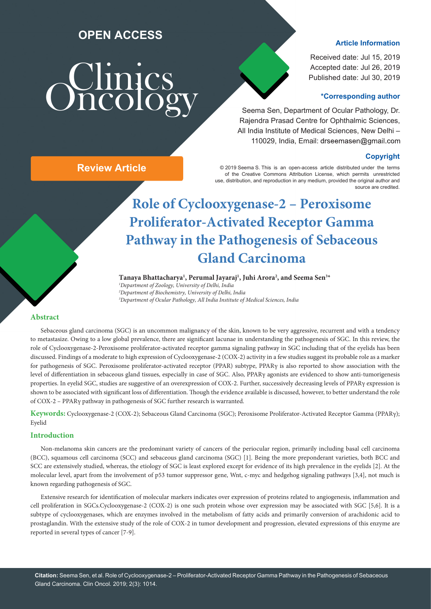# **OPEN ACCESS**

# **Clinics**

**Review Article**

# **Article Information**

Received date: Jul 15, 2019 Accepted date: Jul 26, 2019 Published date: Jul 30, 2019

# **\*Corresponding author**

 Seema Sen, Department of Ocular Pathology, Dr. Rajendra Prasad Centre for Ophthalmic Sciences, All India Institute of Medical Sciences, New Delhi – 110029, India, Email: drseemasen@gmail.com

# **Copyright**

© 2019 Seema S. This is an open-access article distributed under the terms of the Creative Commons Attribution License, which permits unrestricted use, distribution, and reproduction in any medium, provided the original author and source are credited.

# **Role of Cyclooxygenase-2 – Peroxisome Proliferator-Activated Receptor Gamma Pathway in the Pathogenesis of Sebaceous Gland Carcinoma**

**Tanaya Bhattacharya1 , Perumal Jayaraj1 , Juhi Arora2 , and Seema Sen3 \***

*1 Department of Zoology, University of Delhi, India 2 Department of Biochemistry, University of Delhi, India 3 Department of Ocular Pathology, All India Institute of Medical Sciences, India*

# **Abstract**

Sebaceous gland carcinoma (SGC) is an uncommon malignancy of the skin, known to be very aggressive, recurrent and with a tendency to metastasize. Owing to a low global prevalence, there are significant lacunae in understanding the pathogenesis of SGC. In this review, the role of Cyclooxygenase-2-Peroxisome proliferator-activated receptor gamma signaling pathway in SGC including that of the eyelids has been discussed. Findings of a moderate to high expression of Cyclooxygenase-2 (COX-2) activity in a few studies suggest its probable role as a marker for pathogenesis of SGC. Peroxisome proliferator-activated receptor (PPAR) subtype, PPARγ is also reported to show association with the level of differentiation in sebaceous gland tissues, especially in case of SGC. Also, PPARγ agonists are evidenced to show anti-tumorigenesis properties. In eyelid SGC, studies are suggestive of an overexpression of COX-2. Further, successively decreasing levels of PPARγ expression is shown to be associated with significant loss of differentiation. Though the evidence available is discussed, however, to better understand the role of COX-2 – PPARγ pathway in pathogenesis of SGC further research is warranted.

**Keywords:** Cyclooxygenase-2 (COX-2); Sebaceous Gland Carcinoma (SGC); Peroxisome Proliferator-Activated Receptor Gamma (PPARγ); Eyelid

# **Introduction**

Non-melanoma skin cancers are the predominant variety of cancers of the periocular region, primarily including basal cell carcinoma (BCC), squamous cell carcinoma (SCC) and sebaceous gland carcinoma (SGC) [1]. Being the more preponderant varieties, both BCC and SCC are extensively studied, whereas, the etiology of SGC is least explored except for evidence of its high prevalence in the eyelids [2]. At the molecular level, apart from the involvement of p53 tumor suppressor gene, Wnt, c-myc and hedgehog signaling pathways [3,4], not much is known regarding pathogenesis of SGC.

Extensive research for identification of molecular markers indicates over expression of proteins related to angiogenesis, inflammation and cell proliferation in SGCs.Cyclooxygenase-2 (COX-2) is one such protein whose over expression may be associated with SGC [5,6]. It is a subtype of cyclooxygenases, which are enzymes involved in the metabolism of fatty acids and primarily conversion of arachidonic acid to prostaglandin. With the extensive study of the role of COX-2 in tumor development and progression, elevated expressions of this enzyme are reported in several types of cancer [7-9].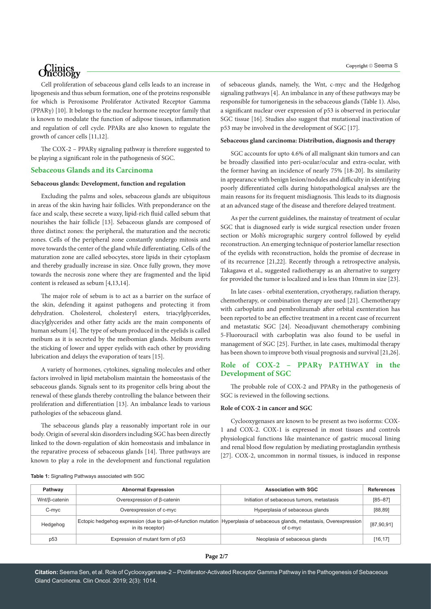# *Oncology*

Cell proliferation of sebaceous gland cells leads to an increase in lipogenesis and thus sebum formation, one of the proteins responsible for which is Peroxisome Proliferator Activated Receptor Gamma (PPARγ) [10]. It belongs to the nuclear hormone receptor family that is known to modulate the function of adipose tissues, inflammation and regulation of cell cycle. PPARs are also known to regulate the growth of cancer cells [11,12].

The COX-2 – PPARγ signaling pathway is therefore suggested to be playing a significant role in the pathogenesis of SGC.

# **Sebaceous Glands and its Carcinoma**

### **Sebaceous glands: Development, function and regulation**

Excluding the palms and soles, sebaceous glands are ubiquitous in areas of the skin having hair follicles. With preponderance on the face and scalp, these secrete a waxy, lipid-rich fluid called sebum that nourishes the hair follicle [13]. Sebaceous glands are composed of three distinct zones: the peripheral, the maturation and the necrotic zones. Cells of the peripheral zone constantly undergo mitosis and move towards the center of the gland while differentiating. Cells of the maturation zone are called sebocytes, store lipids in their cytoplasm and thereby gradually increase in size. Once fully grown, they move towards the necrosis zone where they are fragmented and the lipid content is released as sebum [4,13,14].

The major role of sebum is to act as a barrier on the surface of the skin, defending it against pathogens and protecting it from dehydration. Cholesterol, cholesteryl esters, triacylglycerides, diacylglycerides and other fatty acids are the main components of human sebum [4]. The type of sebum produced in the eyelids is called meibum as it is secreted by the meibomian glands. Meibum averts the sticking of lower and upper eyelids with each other by providing lubrication and delays the evaporation of tears [15].

A variety of hormones, cytokines, signaling molecules and other factors involved in lipid metabolism maintain the homeostasis of the sebaceous glands. Signals sent to its progenitor cells bring about the renewal of these glands thereby controlling the balance between their proliferation and differentiation [13]. An imbalance leads to various pathologies of the sebaceous gland.

The sebaceous glands play a reasonably important role in our body. Origin of several skin disorders including SGC has been directly linked to the down-regulation of skin homeostasis and imbalance in the reparative process of sebaceous glands [14]. Three pathways are known to play a role in the development and functional regulation of sebaceous glands, namely, the Wnt, c-myc and the Hedgehog signaling pathways [4]. An imbalance in any of these pathways may be responsible for tumorigenesis in the sebaceous glands (Table 1). Also, a significant nuclear over expression of p53 is observed in periocular SGC tissue [16]. Studies also suggest that mutational inactivation of p53 may be involved in the development of SGC [17].

### **Sebaceous gland carcinoma: Distribution, diagnosis and therapy**

SGC accounts for upto 4.6% of all malignant skin tumors and can be broadly classified into peri-ocular/ocular and extra-ocular, with the former having an incidence of nearly 75% [18-20]. Its similarity in appearance with benign lesion/nodules and difficulty in identifying poorly differentiated cells during histopathological analyses are the main reasons for its frequent misdiagnosis. This leads to its diagnosis at an advanced stage of the disease and therefore delayed treatment.

As per the current guidelines, the mainstay of treatment of ocular SGC that is diagnosed early is wide surgical resection under frozen section or Moh's micrographic surgery control followed by eyelid reconstruction. An emerging technique of posterior lamellar resection of the eyelids with reconstruction, holds the promise of decrease in of its recurrence [21,22]. Recently through a retrospective analysis, Takagawa et al., suggested radiotherapy as an alternative to surgery for provided the tumor is localized and is less than 10mm in size [23].

In late cases - orbital exenteration, cryotherapy, radiation therapy, chemotherapy, or combination therapy are used [21]. Chemotherapy with carboplatin and pembrolizumab after orbital exenteration has been reported to be an effective treatment in a recent case of recurrent and metastatic SGC [24]. Neoadjuvant chemotherapy combining 5-Fluorouracil with carboplatin was also found to be useful in management of SGC [25]. Further, in late cases, multimodal therapy has been shown to improve both visual prognosis and survival [21,26].

# **Role of COX-2 – PPARγ PATHWAY in the Development of SGC**

The probable role of COX-2 and PPARγ in the pathogenesis of SGC is reviewed in the following sections.

# **Role of COX-2 in cancer and SGC**

Cyclooxygenases are known to be present as two isoforms: COX-1 and COX-2. COX-1 is expressed in most tissues and controls physiological functions like maintenance of gastric mucosal lining and renal blood flow regulation by mediating prostaglandin synthesis [27]. COX-2, uncommon in normal tissues, is induced in response

|  | <b>Table 1: Signalling Pathways associated with SGC</b> |  |
|--|---------------------------------------------------------|--|
|  |                                                         |  |

| Pathway         | <b>Abnormal Expression</b>                                                                                                                    | <b>Association with SGC</b>                | <b>References</b> |
|-----------------|-----------------------------------------------------------------------------------------------------------------------------------------------|--------------------------------------------|-------------------|
| Wnt/ß-catenin   | Overexpression of B-catenin                                                                                                                   | Initiation of sebaceous tumors, metastasis | $[85 - 87]$       |
| C-myc           | Overexpression of c-myc                                                                                                                       | Hyperplasia of sebaceous glands            | [88, 89]          |
| Hedgehog        | Ectopic hedgehog expression (due to gain-of-function mutation Hyperplasia of sebaceous glands, metastasis, Overexpression<br>in its receptor) | of c-myc                                   | [87,90,91]        |
| p <sub>53</sub> | Expression of mutant form of p53                                                                                                              | Neoplasia of sebaceous glands              | [16, 17]          |

**Citation:** Seema Sen, et al. Role of Cyclooxygenase-2 – Proliferator-Activated Receptor Gamma Pathway in the Pathogenesis of Sebaceous Gland Carcinoma. Clin Oncol. 2019; 2(3): 1014.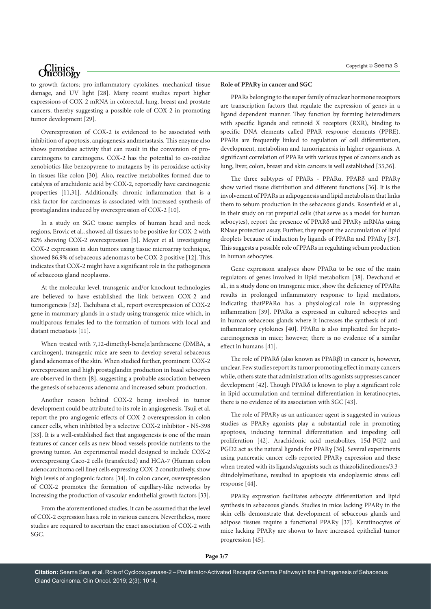# *Clinics*

to growth factors; pro-inflammatory cytokines, mechanical tissue damage, and UV light [28]. Many recent studies report higher expressions of COX-2 mRNA in colorectal, lung, breast and prostate cancers, thereby suggesting a possible role of COX-2 in promoting tumor development [29].

Overexpression of COX-2 is evidenced to be associated with inhibition of apoptosis, angiogenesis andmetastasis. This enzyme also shows peroxidase activity that can result in the conversion of procarcinogens to carcinogens. COX-2 has the potential to co-oxidize xenobiotics like benzopyrene to mutagens by its peroxidase activity in tissues like colon [30]. Also, reactive metabolites formed due to catalysis of arachidonic acid by COX-2, reportedly have carcinogenic properties [11,31]. Additionally, chronic inflammation that is a risk factor for carcinomas is associated with increased synthesis of prostaglandins induced by overexpression of COX-2 [10].

In a study on SGC tissue samples of human head and neck regions, Erovic et al., showed all tissues to be positive for COX-2 with 82% showing COX-2 overexpression [5]. Meyer et al. investigating COX-2 expression in skin tumors using tissue microarray technique, showed 86.9% of sebaceous adenomas to be COX-2 positive [12]. This indicates that COX-2 might have a significant role in the pathogenesis of sebaceous gland neoplasms.

At the molecular level, transgenic and/or knockout technologies are believed to have established the link between COX-2 and tumorigenesis [32]. Tachibana et al., report overexpression of COX-2 gene in mammary glands in a study using transgenic mice which, in multiparous females led to the formation of tumors with local and distant metastasis [11].

When treated with 7,12-dimethyl-benz[α]anthracene (DMBA, a carcinogen), transgenic mice are seen to develop several sebaceous gland adenomas of the skin. When studied further, prominent COX-2 overexpression and high prostaglandin production in basal sebocytes are observed in them [8], suggesting a probable association between the genesis of sebaceous adenoma and increased sebum production.

Another reason behind COX-2 being involved in tumor development could be attributed to its role in angiogenesis. Tsuji et al. report the pro-angiogenic effects of COX-2 overexpression in colon cancer cells, when inhibited by a selective COX-2 inhibitor - NS-398 [33]. It is a well-established fact that angiogenesis is one of the main features of cancer cells as new blood vessels provide nutrients to the growing tumor. An experimental model designed to include COX-2 overexpressing Caco-2 cells (transfected) and HCA-7 (Human colon adenocarcinoma cell line) cells expressing COX-2 constitutively, show high levels of angiogenic factors [34]. In colon cancer, overexpression of COX-2 promotes the formation of capillary-like networks by increasing the production of vascular endothelial growth factors [33].

From the aforementioned studies, it can be assumed that the level of COX-2 expression has a role in various cancers. Nevertheless, more studies are required to ascertain the exact association of COX-2 with SGC.

### **Role of PPARγ in cancer and SGC**

PPARs belonging to the super family of nuclear hormone receptors are transcription factors that regulate the expression of genes in a ligand dependent manner. They function by forming heterodimers with specific ligands and retinoid X receptors (RXR), binding to specific DNA elements called PPAR response elements (PPRE). PPARs are frequently linked to regulation of cell differentiation, development, metabolism and tumorigenesis in higher organisms. A significant correlation of PPARs with various types of cancers such as lung, liver, colon, breast and skin cancers is well established [35,36].

The three subtypes of PPARs - PPARα, PPARδ and PPARγ show varied tissue distribution and different functions [36]. It is the involvement of PPARs in adipogenesis and lipid metabolism that links them to sebum production in the sebaceous glands. Rosenfield et al., in their study on rat preputial cells (that serve as a model for human sebocytes), report the presence of PPARδ and PPARγ mRNAs using RNase protection assay. Further, they report the accumulation of lipid droplets because of induction by ligands of PPARα and PPARγ [37]. This suggests a possible role of PPARs in regulating sebum production in human sebocytes.

Gene expression analyses show PPARα to be one of the main regulators of genes involved in lipid metabolism [38]. Devchand et al., in a study done on transgenic mice, show the deficiency of PPARα results in prolonged inflammatory response to lipid mediators, indicating thatPPARα has a physiological role in suppressing inflammation [39]. PPARα is expressed in cultured sebocytes and in human sebaceous glands where it increases the synthesis of antiinflammatory cytokines [40]. PPARα is also implicated for hepatocarcinogenesis in mice; however, there is no evidence of a similar effect in humans [41].

The role of PPARδ (also known as PPARβ) in cancer is, however, unclear. Few studies report its tumor promoting effect in many cancers while, others state that administration of its agonists suppresses cancer development [42]. Though PPARδ is known to play a significant role in lipid accumulation and terminal differentiation in keratinocytes, there is no evidence of its association with SGC [43].

The role of PPARγ as an anticancer agent is suggested in various studies as PPARγ agonists play a substantial role in promoting apoptosis, inducing terminal differentiation and impeding cell proliferation [42]. Arachidonic acid metabolites, 15d-PGJ2 and PGD2 act as the natural ligands for PPARγ [36]. Several experiments using pancreatic cancer cells reported PPARγ expression and these when treated with its ligands/agonists such as thiazolidinediones/3,3 diindolylmethane, resulted in apoptosis via endoplasmic stress cell response [44].

PPARγ expression facilitates sebocyte differentiation and lipid synthesis in sebaceous glands. Studies in mice lacking PPARγ in the skin cells demonstrate that development of sebaceous glands and adipose tissues require a functional PPARγ [37]. Keratinocytes of mice lacking PPARγ are shown to have increased epithelial tumor progression [45].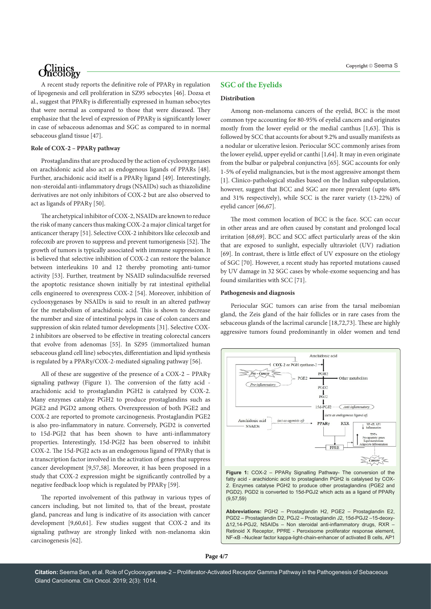# *Clinics*

A recent study reports the definitive role of PPARγ in regulation of lipogenesis and cell proliferation in SZ95 sebocytes [46]. Dozsa et al., suggest that PPARγ is differentially expressed in human sebocytes that were normal as compared to those that were diseased. They emphasize that the level of expression of PPARγ is significantly lower in case of sebaceous adenomas and SGC as compared to in normal sebaceous gland tissue [47].

## **Role of COX-2 – PPARγ pathway**

Prostaglandins that are produced by the action of cyclooxygenases on arachidonic acid also act as endogenous ligands of PPARs [48]. Further, arachidonic acid itself is a PPARγ ligand [49]. Interestingly, non-steroidal anti-inflammatory drugs (NSAIDs) such as thiazolidine derivatives are not only inhibitors of COX-2 but are also observed to act as ligands of PPARγ [50].

The archetypical inhibitor of COX-2, NSAIDs are known to reduce the risk of many cancers thus making COX-2 a major clinical target for anticancer therapy [51]. Selective COX-2 inhibitors like celecoxib and rofecoxib are proven to suppress and prevent tumorigenesis [52]. The growth of tumors is typically associated with immune suppression. It is believed that selective inhibition of COX-2 can restore the balance between interleukins 10 and 12 thereby promoting anti-tumor activity [53]. Further, treatment by NSAID sulindacsulfide reversed the apoptotic resistance shown initially by rat intestinal epithelial cells engineered to overexpress COX-2 [54]. Moreover, inhibition of cyclooxygenases by NSAIDs is said to result in an altered pathway for the metabolism of arachidonic acid. This is shown to decrease the number and size of intestinal polyps in case of colon cancers and suppression of skin related tumor developments [31]. Selective COX-2 inhibitors are observed to be effective in treating colorectal cancers that evolve from adenomas [55]. In SZ95 (immortalized human sebaceous gland cell line) sebocytes, differentiation and lipid synthesis is regulated by a PPARγ/COX-2-mediated signaling pathway [56].

All of these are suggestive of the presence of a COX-2 – PPARγ signaling pathway (Figure 1). The conversion of the fatty acid arachidonic acid to prostaglandin PGH2 is catalyzed by COX-2. Many enzymes catalyze PGH2 to produce prostaglandins such as PGE2 and PGD2 among others. Overexpression of both PGE2 and COX-2 are reported to promote carcinogenesis. Prostaglandin PGE2 is also pro-inflammatory in nature. Conversely, PGD2 is converted to 15d-PGJ2 that has been shown to have anti-inflammatory properties. Interestingly, 15d-PGJ2 has been observed to inhibit COX-2. The 15d-PGJ2 acts as an endogenous ligand of PPARγ that is a transcription factor involved in the activation of genes that suppress cancer development [9,57,58]. Moreover, it has been proposed in a study that COX-2 expression might be significantly controlled by a negative feedback loop which is regulated by PPARγ [59].

The reported involvement of this pathway in various types of cancers including, but not limited to, that of the breast, prostate gland, pancreas and lung is indicative of its association with cancer development [9,60,61]. Few studies suggest that COX-2 and its signaling pathway are strongly linked with non-melanoma skin carcinogenesis [62].

# **SGC of the Eyelids**

# **Distribution**

Among non-melanoma cancers of the eyelid, BCC is the most common type accounting for 80-95% of eyelid cancers and originates mostly from the lower eyelid or the medial canthus [1,63]. This is followed by SCC that accounts for about 9.2% and usually manifests as a nodular or ulcerative lesion. Periocular SCC commonly arises from the lower eyelid, upper eyelid or canthi [1,64]. It may in even originate from the bulbar or palpebral conjunctiva [65]. SGC accounts for only 1-5% of eyelid malignancies, but is the most aggressive amongst them [1]. Clinico-pathological studies based on the Indian subpopulation, however, suggest that BCC and SGC are more prevalent (upto 48% and 31% respectively), while SCC is the rarer variety (13-22%) of eyelid cancer [66,67].

The most common location of BCC is the face. SCC can occur in other areas and are often caused by constant and prolonged local irritation [68,69]. BCC and SCC affect particularly areas of the skin that are exposed to sunlight, especially ultraviolet (UV) radiation [69]. In contrast, there is little effect of UV exposure on the etiology of SGC [70]. However, a recent study has reported mutations caused by UV damage in 32 SGC cases by whole-exome sequencing and has found similarities with SCC [71].

### **Pathogenesis and diagnosis**

Periocular SGC tumors can arise from the tarsal meibomian gland, the Zeis gland of the hair follicles or in rare cases from the sebaceous glands of the lacrimal caruncle [18,72,73]. These are highly aggressive tumors found predominantly in older women and tend



**Figure 1:** COX-2 – PPARγ Signalling Pathway- The conversion of the fatty acid - arachidonic acid to prostaglandin PGH2 is catalysed by COX-2. Enzymes catalyse PGH2 to produce other prostaglandins (PGE2 and PGD2). PGD2 is converted to 15d-PGJ2 which acts as a ligand of PPARγ (9,57,59)

**Abbreviations:** PGH2 – Prostaglandin H2, PGE2 – Prostaglandin E2, PGD2 – Prostaglandin D2, PGJ2 – Prostaglandin J2, 15d-PGJ2 –15-deoxy-Δ12,14-PGJ2, NSAIDs – Non steroidal anti-inflammatory drugs, RXR – Retinoid X Receptor, PPRE - Peroxisome proliferator response element, NF-κB –Nuclear factor kappa-light-chain-enhancer of activated B cells, AP1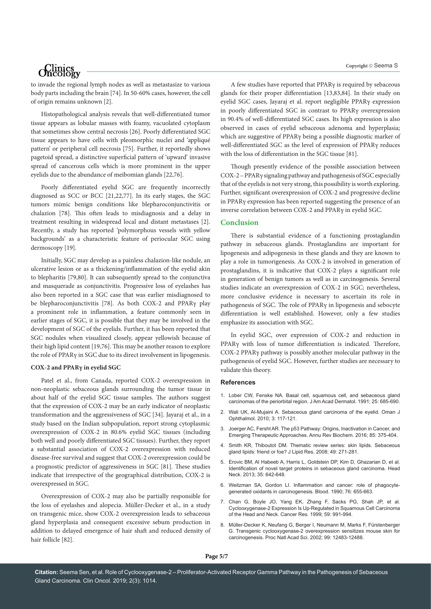# *<u>Clinics</u>*

to invade the regional lymph nodes as well as metastasize to various body parts including the brain [74]. In 50-60% cases, however, the cell of origin remains unknown [2].

Histopathological analysis reveals that well-differentiated tumor tissue appears as lobular masses with foamy, vacuolated cytoplasm that sometimes show central necrosis [26]. Poorly differentiated SGC tissue appears to have cells with pleomorphic nuclei and 'appliqué pattern' or peripheral cell necrosis [75]. Further, it reportedly shows pagetoid spread, a distinctive superficial pattern of 'upward' invasive spread of cancerous cells which is more prominent in the upper eyelids due to the abundance of meibomian glands [22,76].

Poorly differentiated eyelid SGC are frequently incorrectly diagnosed as SCC or BCC [21,22,77]. In its early stages, the SGC tumors mimic benign conditions like blepharoconjunctivitis or chalazion [78]. This often leads to misdiagnosis and a delay in treatment resulting in widespread local and distant metastases [2]. Recently, a study has reported 'polymorphous vessels with yellow backgrounds' as a characteristic feature of periocular SGC using dermoscopy [19].

Initially, SGC may develop as a painless chalazion-like nodule, an ulcerative lesion or as a thickening/inflammation of the eyelid akin to blepharitis [79,80]. It can subsequently spread to the conjunctiva and masquerade as conjunctivitis. Progressive loss of eyelashes has also been reported in a SGC case that was earlier misdiagnosed to be blepharoconjunctivitis [78]. As both COX-2 and PPARγ play a prominent role in inflammation, a feature commonly seen in earlier stages of SGC, it is possible that they may be involved in the development of SGC of the eyelids. Further, it has been reported that SGC nodules when visualized closely, appear yellowish because of their high lipid content [19,76]. This may be another reason to explore the role of PPARγ in SGC due to its direct involvement in lipogenesis.

### **COX-2 and PPARγ in eyelid SGC**

Patel et al., from Canada, reported COX-2 overexpression in non-neoplastic sebaceous glands surrounding the tumor tissue in about half of the eyelid SGC tissue samples. The authors suggest that the expression of COX-2 may be an early indicator of neoplastic transformation and the aggressiveness of SGC [34]. Jayaraj et al., in a study based on the Indian subpopulation, report strong cytoplasmic overexpression of COX-2 in 80.6% eyelid SGC tissues (including both well and poorly differentiated SGC tissues). Further, they report a substantial association of COX-2 overexpression with reduced disease-free survival and suggest that COX-2 overexpression could be a prognostic predictor of aggressiveness in SGC [81]. These studies indicate that irrespective of the geographical distribution, COX-2 is overexpressed in SGC.

Overexpression of COX-2 may also be partially responsible for the loss of eyelashes and alopecia. Müller-Decker et al., in a study on transgenic mice, show COX-2 overexpression leads to sebaceous gland hyperplasia and consequent excessive sebum production in addition to delayed emergence of hair shaft and reduced density of hair follicle [82].

A few studies have reported that PPARγ is required by sebaceous glands for their proper differentiation [13,83,84]. In their study on eyelid SGC cases, Jayaraj et al. report negligible PPARγ expression in poorly differentiated SGC in contrast to PPARγ overexpression in 90.4% of well-differentiated SGC cases. Its high expression is also observed in cases of eyelid sebaceous adenoma and hyperplasia; which are suggestive of PPARγ being a possible diagnostic marker of well-differentiated SGC as the level of expression of PPARγ reduces with the loss of differentiation in the SGC tissue [81].

Though presently evidence of the possible association between COX-2 – PPARγ signaling pathway and pathogenesis of SGC especially that of the eyelids is not very strong, this possibility is worth exploring. Further, significant overexpression of COX-2 and progressive decline in PPARγ expression has been reported suggesting the presence of an inverse correlation between COX-2 and PPARγ in eyelid SGC.

## **Conclusion**

There is substantial evidence of a functioning prostaglandin pathway in sebaceous glands. Prostaglandins are important for lipogenesis and adipogenesis in these glands and they are known to play a role in tumorigenesis. As COX-2 is involved in generation of prostaglandins, it is indicative that COX-2 plays a significant role in generation of benign tumors as well as in carcinogenesis. Several studies indicate an overexpression of COX-2 in SGC; nevertheless, more conclusive evidence is necessary to ascertain its role in pathogenesis of SGC. The role of PPARγ in lipogenesis and sebocyte differentiation is well established. However, only a few studies emphasize its association with SGC.

In eyelid SGC, over expression of COX-2 and reduction in PPARγ with loss of tumor differentiation is indicated. Therefore, COX-2 PPARγ pathway is possibly another molecular pathway in the pathogenesis of eyelid SGC. However, further studies are necessary to validate this theory.

### **References**

- 1. [Lober CW, Fenske NA. Basal cell, squamous cell, and sebaceous gland](https://www.ncbi.nlm.nih.gov/pubmed/1791226)  [carcinomas of the periorbital region. J Am Acad Dermatol. 1991; 25: 685-690.](https://www.ncbi.nlm.nih.gov/pubmed/1791226)
- 2. [Wali UK, Al-Mujaini A. Sebaceous gland carcinoma of the eyelid. Oman J](https://www.ncbi.nlm.nih.gov/pmc/articles/PMC2992157/)  [Ophthalmol. 2010; 3: 117-121.](https://www.ncbi.nlm.nih.gov/pmc/articles/PMC2992157/)
- 3. [Joerger AC, Fersht AR. The p53 Pathway: Origins, Inactivation in Cancer, and](https://www.ncbi.nlm.nih.gov/pubmed/27145840)  [Emerging Therapeutic Approaches. Annu Rev Biochem. 2016; 85: 375-404.](https://www.ncbi.nlm.nih.gov/pubmed/27145840)
- 4. [Smith KR, Thiboutot DM. Thematic review series: skin lipids. Sebaceous](https://www.ncbi.nlm.nih.gov/pubmed/17975220)  [gland lipids: friend or foe? J Lipid Res. 2008; 49: 271-281.](https://www.ncbi.nlm.nih.gov/pubmed/17975220)
- 5. [Erovic BM, Al Habeeb A, Harris L, Goldstein DP, Kim D, Ghazarian D, et al.](https://www.ncbi.nlm.nih.gov/pubmed/22715107)  [Identification of novel target proteins in sebaceous gland carcinoma. Head](https://www.ncbi.nlm.nih.gov/pubmed/22715107)  [Neck. 2013; 35: 642-648.](https://www.ncbi.nlm.nih.gov/pubmed/22715107)
- 6. [Weitzman SA, Gordon LI. Inflammation and cancer: role of phagocyte](https://www.ncbi.nlm.nih.gov/pubmed/2200535)[generated oxidants in carcinogenesis. Blood. 1990; 76: 655-663.](https://www.ncbi.nlm.nih.gov/pubmed/2200535)
- 7. [Chan G, Boyle JO, Yang EK, Zhang F, Sacks PG, Shah JP, et al.](https://www.ncbi.nlm.nih.gov/pubmed/10070952)  [Cyclooxygenase-2 Expression Is Up-Regulated in Squamous Cell Carcinoma](https://www.ncbi.nlm.nih.gov/pubmed/10070952)  [of the Head and Neck. Cancer Res. 1999; 59: 991-994.](https://www.ncbi.nlm.nih.gov/pubmed/10070952)
- 8. [Müller-Decker K, Neufang G, Berger I, Neumann M, Marks F, Fürstenberger](https://www.ncbi.nlm.nih.gov/pmc/articles/PMC129471/)  [G. Transgenic cyclooxygenase-2 overexpression sensitizes mouse skin for](https://www.ncbi.nlm.nih.gov/pmc/articles/PMC129471/)  [carcinogenesis. Proc Natl Acad Sci. 2002; 99: 12483-12488.](https://www.ncbi.nlm.nih.gov/pmc/articles/PMC129471/)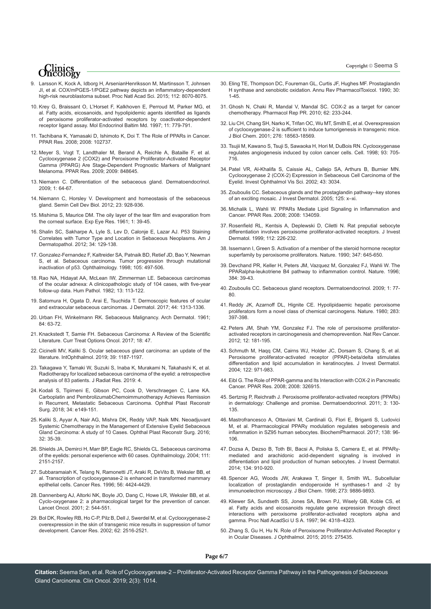# *Clinics*<br>Oncology

- 9. [Larsson K, Kock A, Idborg H, ArsenianHenriksson M, Martinsson T, Johnsen](https://www.ncbi.nlm.nih.gov/pubmed/26080408)  [JI, et al. COX/mPGES-1/PGE2 pathway depicts an inflammatory-dependent](https://www.ncbi.nlm.nih.gov/pubmed/26080408)  [high-risk neuroblastoma subset. Proc Natl Acad Sci. 2015; 112: 8070-8075.](https://www.ncbi.nlm.nih.gov/pubmed/26080408)
- 10. [Krey G, Braissant O, L'Horset F, Kalkhoven E, Perroud M, Parker MG, et](https://www.ncbi.nlm.nih.gov/pubmed/9171241)  [al. Fatty acids, eicosanoids, and hypolipidemic agents identified as ligands](https://www.ncbi.nlm.nih.gov/pubmed/9171241)  [of peroxisome proliferator-activated receptors by coactivator-dependent](https://www.ncbi.nlm.nih.gov/pubmed/9171241)  [receptor ligand assay. Mol Endocrinol Baltim Md. 1997; 11: 779-791.](https://www.ncbi.nlm.nih.gov/pubmed/9171241)
- 11. [Tachibana K, Yamasaki D, Ishimoto K, Doi T. The Role of PPARs in Cancer.](https://www.ncbi.nlm.nih.gov/pubmed/18584037)  [PPAR Res. 2008; 2008: 102737.](https://www.ncbi.nlm.nih.gov/pubmed/18584037)
- 12. [Meyer S, Vogt T, Landthaler M, Berand A, Reichle A, Bataille F, et al.](https://www.ncbi.nlm.nih.gov/pubmed/19639032)  [Cyclooxygenase 2 \(COX2\) and Peroxisome Proliferator-Activated Receptor](https://www.ncbi.nlm.nih.gov/pubmed/19639032)  Gamma (PPARG) Are Stage-Dependent Prognostic Markers of Malignant [Melanoma. PPAR Res. 2009; 2009: 848645.](https://www.ncbi.nlm.nih.gov/pubmed/19639032)
- 13. [Niemann C. Differentiation of the sebaceous gland. Dermatoendocrinol.](https://www.ncbi.nlm.nih.gov/pmc/articles/PMC2835892/)  [2009; 1: 64-67.](https://www.ncbi.nlm.nih.gov/pmc/articles/PMC2835892/)
- 14. [Niemann C, Horsley V. Development and homeostasis of the sebaceous](https://www.ncbi.nlm.nih.gov/pubmed/22960253)  [gland. Semin Cell Dev Biol. 2012; 23: 928-936.](https://www.ncbi.nlm.nih.gov/pubmed/22960253)
- 15. [Mishima S, Maurice DM. The oily layer of the tear film and evaporation from](https://www.ncbi.nlm.nih.gov/pubmed/14474548)  [the corneal surface. Exp Eye Res. 1961; 1: 39-45.](https://www.ncbi.nlm.nih.gov/pubmed/14474548)
- 16. [Shalin SC, Sakharpe A, Lyle S, Lev D, Calonje E, Lazar AJ. P53 Staining](https://www.ncbi.nlm.nih.gov/pmc/articles/PMC3313553/)  [Correlates with Tumor Type and Location in Sebaceous Neoplasms. Am J](https://www.ncbi.nlm.nih.gov/pmc/articles/PMC3313553/)  [Dermatopathol. 2012; 34: 129-138.](https://www.ncbi.nlm.nih.gov/pmc/articles/PMC3313553/)
- 17. [Gonzalez-Fernandez F, Kaltreider SA, Patnaik BD, Retief JD, Bao Y, Newman](https://www.ncbi.nlm.nih.gov/pubmed/9499782)  [S, et al. Sebaceous carcinoma. Tumor progression through mutational](https://www.ncbi.nlm.nih.gov/pubmed/9499782)  [inactivation of p53. Ophthalmology. 1998; 105: 497-506.](https://www.ncbi.nlm.nih.gov/pubmed/9499782)
- 18. [Rao NA, Hidayat AA, McLean IW, Zimmerman LE. Sebaceous carcinomas](https://www.sciencedirect.com/science/article/abs/pii/S0046817782801159)  [of the ocular adnexa: A clinicopathologic study of 104 cases, with five-year](https://www.sciencedirect.com/science/article/abs/pii/S0046817782801159)  [follow-up data. Hum Pathol. 1982; 13: 113-122.](https://www.sciencedirect.com/science/article/abs/pii/S0046817782801159)
- 19. [Satomura H, Ogata D, Arai E, Tsuchida T. Dermoscopic features of ocular](https://www.ncbi.nlm.nih.gov/pubmed/28631273)  [and extraocular sebaceous carcinomas. J Dermatol. 2017; 44: 1313-1336.](https://www.ncbi.nlm.nih.gov/pubmed/28631273)
- 20. [Urban FH, Winkelmann RK. Sebaceous Malignancy. Arch Dermatol. 1961;](https://www.ncbi.nlm.nih.gov/pubmed/13779263)  [84: 63-72.](https://www.ncbi.nlm.nih.gov/pubmed/13779263)
- 21. [Knackstedt T, Samie FH. Sebaceous Carcinoma: A Review of the Scientific](https://www.ncbi.nlm.nih.gov/pubmed/28681210)  [Literature. Curr Treat Options Oncol. 2017; 18: 47.](https://www.ncbi.nlm.nih.gov/pubmed/28681210)
- 22. [Cicinelli MV, Kaliki S. Ocular sebaceous gland carcinoma: an update of the](https://www.ncbi.nlm.nih.gov/pubmed/29696467)  [literature. IntOphthalmol. 2019; 39: 1187-1197.](https://www.ncbi.nlm.nih.gov/pubmed/29696467)
- 23. [Takagawa Y, Tamaki W, Suzuki S, Inaba K, Murakami N, Takahashi K, et al.](https://www.ncbi.nlm.nih.gov/pubmed/31271440)  [Radiotherapy for localized sebaceous carcinoma of the eyelid: a retrospective](https://www.ncbi.nlm.nih.gov/pubmed/31271440)  [analysis of 83 patients. J Radiat Res. 2019: 4.](https://www.ncbi.nlm.nih.gov/pubmed/31271440)
- 24. [Kodali S, Tipirneni E, Gibson PC, Cook D, Verschraegen C, Lane KA.](https://www.ncbi.nlm.nih.gov/pubmed/29979269)  [Carboplatin and PembrolizumabChemoimmunotherapy Achieves Remission](https://www.ncbi.nlm.nih.gov/pubmed/29979269)  [in Recurrent, Metastatic Sebaceous Carcinoma. Ophthal Plast Reconstr](https://www.ncbi.nlm.nih.gov/pubmed/29979269)  [Surg. 2018; 34: e149-151.](https://www.ncbi.nlm.nih.gov/pubmed/29979269)
- 25. [Kaliki S, Ayyar A, Nair AG, Mishra DK, Reddy VAP, Naik MN. Neoadjuvant](https://www.ncbi.nlm.nih.gov/pubmed/25675161)  [Systemic Chemotherapy in the Management of Extensive Eyelid Sebaceous](https://www.ncbi.nlm.nih.gov/pubmed/25675161)  [Gland Carcinoma: A study of 10 Cases. Ophthal Plast Reconstr Surg. 2016;](https://www.ncbi.nlm.nih.gov/pubmed/25675161)  [32: 35-39.](https://www.ncbi.nlm.nih.gov/pubmed/25675161)
- 26. [Shields JA, Demirci H, Marr BP, Eagle RC, Shields CL. Sebaceous carcinoma](https://www.ncbi.nlm.nih.gov/pubmed/15582067)  [of the eyelids: personal experience with 60 cases. Ophthalmology. 2004; 111:](https://www.ncbi.nlm.nih.gov/pubmed/15582067)  [2151-2157.](https://www.ncbi.nlm.nih.gov/pubmed/15582067)
- 27. [Subbaramaiah K, Telang N, Ramonetti JT, Araki R, DeVito B, Weksler BB, et](https://www.ncbi.nlm.nih.gov/pubmed/8813136)  [al. Transcription of cyclooxygenase-2 is enhanced in transformed mammary](https://www.ncbi.nlm.nih.gov/pubmed/8813136)  [epithelial cells. Cancer Res. 1996; 56: 4424-4429.](https://www.ncbi.nlm.nih.gov/pubmed/8813136)
- 28. [Dannenberg AJ, Altorki NK, Boyle JO, Dang C, Howe LR, Weksler BB, et al.](https://www.ncbi.nlm.nih.gov/pubmed/11905709)  [Cyclo-oxygenase 2: a pharmacological target for the prevention of cancer.](https://www.ncbi.nlm.nih.gov/pubmed/11905709)  [Lancet Oncol. 2001; 2: 544-551.](https://www.ncbi.nlm.nih.gov/pubmed/11905709)
- 29. [Bol DK, Rowley RB, Ho C-P, Pilz B, Dell J, Swerdel M, et al. Cyclooxygenase-2](https://www.ncbi.nlm.nih.gov/pubmed/11980643)  [overexpression in the skin of transgenic mice results in suppression of tumor](https://www.ncbi.nlm.nih.gov/pubmed/11980643)  [development. Cancer Res. 2002; 62: 2516-2521.](https://www.ncbi.nlm.nih.gov/pubmed/11980643)

30. [Eling TE, Thompson DC, Foureman GL, Curtis JF, Hughes MF. Prostaglandin](https://www.ncbi.nlm.nih.gov/pubmed/2111654)  [H synthase and xenobiotic oxidation. Annu Rev PharmacolToxicol. 1990; 30:](https://www.ncbi.nlm.nih.gov/pubmed/2111654)  [1-45.](https://www.ncbi.nlm.nih.gov/pubmed/2111654)

Copyright © Seema S

- 31. [Ghosh N, Chaki R, Mandal V, Mandal SC. COX-2 as a target for cancer](https://www.ncbi.nlm.nih.gov/pubmed/20508278)  [chemotherapy. Pharmacol Rep PR. 2010; 62: 233-244.](https://www.ncbi.nlm.nih.gov/pubmed/20508278)
- 32. [Liu CH, Chang SH, Narko K, Trifan OC, Wu MT, Smith E, et al. Overexpression](https://www.ncbi.nlm.nih.gov/pubmed/11278747)  [of cyclooxygenase-2 is sufficient to induce tumorigenesis in transgenic mice.](https://www.ncbi.nlm.nih.gov/pubmed/11278747)  [J Biol Chem. 2001; 276: 18563-18569.](https://www.ncbi.nlm.nih.gov/pubmed/11278747)
- 33. [Tsujii M, Kawano S, Tsuji S, Sawaoka H, Hori M, DuBois RN. Cyclooxygenase](https://www.ncbi.nlm.nih.gov/pubmed/9630216)  [regulates angiogenesis induced by colon cancer cells. Cell. 1998; 93: 705-](https://www.ncbi.nlm.nih.gov/pubmed/9630216) [716.](https://www.ncbi.nlm.nih.gov/pubmed/9630216)
- 34. [Patel VR, Al-Khalifa S, Caissie AL, Callejo SA, Arthurs B, Burnier MN.](https://iovs.arvojournals.org/article.aspx?articleid=2420277)  [Cyclooxygenase 2 \(COX-2\) Expression in Sebaceous Cell Carcinoma of the](https://iovs.arvojournals.org/article.aspx?articleid=2420277)  [Eyelid. Invest Ophthalmol Vis Sci. 2002; 43: 3034.](https://iovs.arvojournals.org/article.aspx?articleid=2420277)
- 35. [Zouboulis CC. Sebaceous glands and the prostaglandin pathway--key stones](https://www.ncbi.nlm.nih.gov/pubmed/16297176)  [of an exciting mosaic. J Invest Dermatol. 2005; 125: x–xi.](https://www.ncbi.nlm.nih.gov/pubmed/16297176)
- 36. [Michalik L, Wahli W. PPARs Mediate Lipid Signaling in Inflammation and](https://www.hindawi.com/journals/ppar/2008/134059/)  [Cancer. PPAR Res. 2008; 2008: 134059.](https://www.hindawi.com/journals/ppar/2008/134059/)
- 37. [Rosenfield RL, Kentsis A, Deplewski D, Ciletti N. Rat preputial sebocyte](https://www.ncbi.nlm.nih.gov/pubmed/9989800)  [differentiation involves peroxisome proliferator-activated receptors. J Invest](https://www.ncbi.nlm.nih.gov/pubmed/9989800)  [Dermatol. 1999; 112: 226-232.](https://www.ncbi.nlm.nih.gov/pubmed/9989800)
- 38. [Issemann I, Green S. Activation of a member of the steroid hormone receptor](https://www.ncbi.nlm.nih.gov/pubmed/2129546)  [superfamily by peroxisome proliferators. Nature. 1990; 347: 645-650.](https://www.ncbi.nlm.nih.gov/pubmed/2129546)
- 39. [Devchand PR, Keller H, Peters JM, Vazquez M, Gonzalez FJ, Wahli W. The](https://www.ncbi.nlm.nih.gov/pubmed/8900274)  [PPARalpha-leukotriene B4 pathway to inflammation control. Nature. 1996;](https://www.ncbi.nlm.nih.gov/pubmed/8900274)  [384: 39-43.](https://www.ncbi.nlm.nih.gov/pubmed/8900274)
- 40. [Zouboulis CC. Sebaceous gland receptors. Dermatoendocrinol. 2009; 1: 77-](https://www.ncbi.nlm.nih.gov/pmc/articles/PMC2835895/) [80.](https://www.ncbi.nlm.nih.gov/pmc/articles/PMC2835895/)
- 41. [Reddy JK, Azarnoff DL, Hignite CE. Hypolipidaemic hepatic peroxisome](https://www.ncbi.nlm.nih.gov/pubmed/6766207)  [proliferators form a novel class of chemical carcinogens. Nature. 1980; 283:](https://www.ncbi.nlm.nih.gov/pubmed/6766207)  [397-398.](https://www.ncbi.nlm.nih.gov/pubmed/6766207)
- 42. [Peters JM, Shah YM, Gonzalez FJ. The role of peroxisome proliferator](https://www.ncbi.nlm.nih.gov/pubmed/22318237)[activated receptors in carcinogenesis and chemoprevention. Nat Rev Cancer.](https://www.ncbi.nlm.nih.gov/pubmed/22318237)  [2012; 12: 181-195.](https://www.ncbi.nlm.nih.gov/pubmed/22318237)
- 43. [Schmuth M, Haqq CM, Cairns WJ, Holder JC, Dorsam S, Chang S, et al.](https://www.ncbi.nlm.nih.gov/pubmed/15102088)  [Peroxisome proliferator-activated receptor \(PPAR\)-beta/delta stimulates](https://www.ncbi.nlm.nih.gov/pubmed/15102088)  [differentiation and lipid accumulation in keratinocytes. J Invest Dermatol.](https://www.ncbi.nlm.nih.gov/pubmed/15102088)  [2004; 122: 971-983.](https://www.ncbi.nlm.nih.gov/pubmed/15102088)
- 44. [Eibl G. The Role of PPAR-gamma and Its Interaction with COX-2 in Pancreatic](https://www.ncbi.nlm.nih.gov/pubmed/18615182)  [Cancer. PPAR Res. 2008; 2008: 326915.](https://www.ncbi.nlm.nih.gov/pubmed/18615182)
- 45. [Sertznig P, Reichrath J. Peroxisome proliferator-activated receptors \(PPARs\)](https://www.ncbi.nlm.nih.gov/pubmed/22110772)  [in dermatology: Challenge and promise. Dermatoendocrinol. 2011; 3: 130-](https://www.ncbi.nlm.nih.gov/pubmed/22110772) [135.](https://www.ncbi.nlm.nih.gov/pubmed/22110772)
- 46. [Mastrofrancesco A, Ottaviani M, Cardinali G, Flori E, Briganti S, Ludovici](https://www.ncbi.nlm.nih.gov/pubmed/28461124)  [M, et al. Pharmacological PPARγ modulation regulates sebogenesis and](https://www.ncbi.nlm.nih.gov/pubmed/28461124)  [inflammation in SZ95 human sebocytes. BiochemPharmacol. 2017; 138: 96-](https://www.ncbi.nlm.nih.gov/pubmed/28461124) [106.](https://www.ncbi.nlm.nih.gov/pubmed/28461124)
- 47. [Dozsa A, Dezso B, Toth BI, Bacsi A, Poliska S, Camera E, et al. PPARγ](https://www.ncbi.nlm.nih.gov/pubmed/24129064)[mediated and arachidonic acid-dependent signaling is involved in](https://www.ncbi.nlm.nih.gov/pubmed/24129064)  [differentiation and lipid production of human sebocytes. J Invest Dermatol.](https://www.ncbi.nlm.nih.gov/pubmed/24129064)  [2014; 134: 910-920.](https://www.ncbi.nlm.nih.gov/pubmed/24129064)
- 48. Spencer AG, Woods JW, Arakawa T, Singer II, Smith WL. Subcellular localization of prostaglandin endoperoxide H synthases-1 and -2 by immunoelectron microscopy. J Biol Chem. 1998; 273: 9886-9893.
- 49. [Kliewer SA, Sundseth SS, Jones SA, Brown PJ, Wisely GB, Koble CS, et](https://www.ncbi.nlm.nih.gov/pubmed/9113987)  [al. Fatty acids and eicosanoids regulate gene expression through direct](https://www.ncbi.nlm.nih.gov/pubmed/9113987)  [interactions with peroxisome proliferator-activated receptors alpha and](https://www.ncbi.nlm.nih.gov/pubmed/9113987)  [gamma. Proc Natl AcadSci U S A. 1997; 94: 4318–4323.](https://www.ncbi.nlm.nih.gov/pubmed/9113987)
- 50. [Zhang S, Gu H, Hu N. Role of Peroxisome Proliferator-Activated Receptor γ](https://www.ncbi.nlm.nih.gov/pubmed/26146566)  [in Ocular Diseases. J Ophthalmol. 2015; 2015: 275435.](https://www.ncbi.nlm.nih.gov/pubmed/26146566)

**Page 6/7**